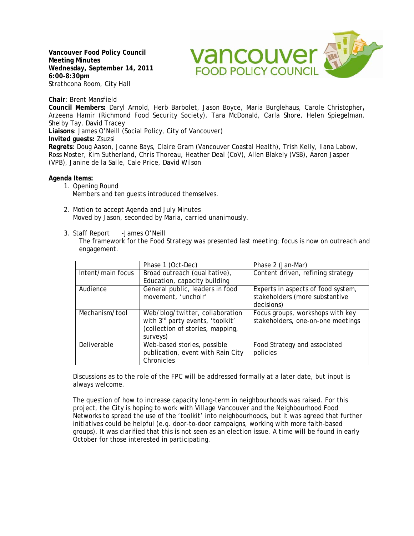**Vancouver Food Policy Council Meeting Minutes Wednesday, September 14, 2011 6:00-8:30pm**  Strathcona Room, City Hall

**Vancouver** 

**Chair**: Brent Mansfield

**Council Members:** Daryl Arnold, Herb Barbolet, Jason Boyce, Maria Burglehaus, Carole Christopher**,**  Arzeena Hamir (Richmond Food Security Society), Tara McDonald, Carla Shore, Helen Spiegelman, Shelby Tay, David Tracey **Liaisons**: James O'Neill (Social Policy, City of Vancouver) **Invited guests:** Zsuzsi **Regrets**: Doug Aason, Joanne Bays, Claire Gram (Vancouver Coastal Health), Trish Kelly, Ilana Labow, Ross Moster, Kim Sutherland, Chris Thoreau, Heather Deal (CoV), Allen Blakely (VSB), Aaron Jasper (VPB), Janine de la Salle, Cale Price, David Wilson

**Agenda Items:** 

- 1. Opening Round Members and ten guests introduced themselves.
- 2. Motion to accept Agenda and July Minutes Moved by Jason, seconded by Maria, carried unanimously.
- 3. Staff Report James O'Neill

The framework for the Food Strategy was presented last meeting; focus is now on outreach and engagement.

|                   | Phase 1 (Oct-Dec)                                                                                                   | Phase 2 (Jan-Mar)                                                     |
|-------------------|---------------------------------------------------------------------------------------------------------------------|-----------------------------------------------------------------------|
| Intent/main focus | Broad outreach (qualitative),                                                                                       | Content driven, refining strategy                                     |
|                   | Education, capacity building                                                                                        |                                                                       |
| Audience          | General public, leaders in food                                                                                     | Experts in aspects of food system,                                    |
|                   | movement, 'unchoir'                                                                                                 | stakeholders (more substantive                                        |
|                   |                                                                                                                     | decisions)                                                            |
| Mechanism/tool    | Web/blog/twitter, collaboration<br>with 3rd party events, 'toolkit'<br>(collection of stories, mapping,<br>surveys) | Focus groups, workshops with key<br>stakeholders, one-on-one meetings |
| Deliverable       | Web-based stories, possible<br>publication, event with Rain City<br>Chronicles                                      | Food Strategy and associated<br>policies                              |

Discussions as to the role of the FPC will be addressed formally at a later date, but input is always welcome.

The question of how to increase capacity long-term in neighbourhoods was raised. For this project, the City is hoping to work with Village Vancouver and the Neighbourhood Food Networks to spread the use of the 'toolkit' into neighbourhoods, but it was agreed that further initiatives could be helpful (e.g. door-to-door campaigns, working with more faith-based groups). It was clarified that this is not seen as an election issue. A time will be found in early October for those interested in participating.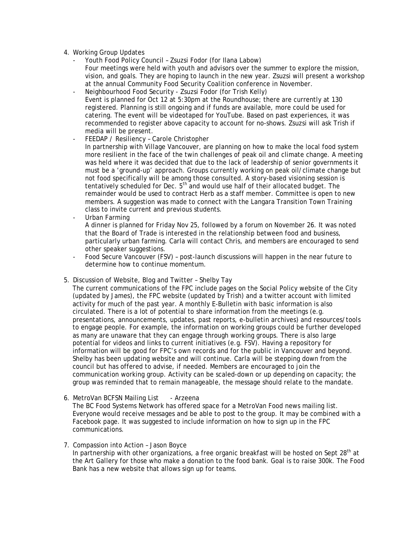- 4. Working Group Updates
	- Youth Food Policy Council Zsuzsi Fodor (for Ilana Labow) Four meetings were held with youth and advisors over the summer to explore the mission, vision, and goals. They are hoping to launch in the new year. Zsuzsi will present a workshop at the annual Community Food Security Coalition conference in November.
	- Neighbourhood Food Security Zsuzsi Fodor (for Trish Kelly) Event is planned for Oct 12 at 5:30pm at the Roundhouse; there are currently at 130 registered. Planning is still ongoing and if funds are available, more could be used for catering. The event will be videotaped for YouTube. Based on past experiences, it was recommended to register above capacity to account for no-shows. Zsuzsi will ask Trish if media will be present.
	- FEEDAP / Resiliency Carole Christopher In partnership with Village Vancouver, are planning on how to make the local food system more resilient in the face of the twin challenges of peak oil and climate change. A meeting was held where it was decided that due to the lack of leadership of senior governments it must be a 'ground-up' approach. Groups currently working on peak oil/climate change but not food specifically will be among those consulted. A story-based visioning session is tentatively scheduled for Dec. 5<sup>th</sup> and would use half of their allocated budget. The remainder would be used to contract Herb as a staff member. Committee is open to new members. A suggestion was made to connect with the Langara Transition Town Training class to invite current and previous students.
	- Urban Farming

A dinner is planned for Friday Nov 25, followed by a forum on November 26. It was noted that the Board of Trade is interested in the relationship between food and business, particularly urban farming. Carla will contact Chris, and members are encouraged to send other speaker suggestions.

- Food Secure Vancouver (FSV) post-launch discussions will happen in the near future to determine how to continue momentum.
- 5. Discussion of Website, Blog and Twitter Shelby Tay

The current communications of the FPC include pages on the Social Policy website of the City (updated by James), the FPC website (updated by Trish) and a twitter account with limited activity for much of the past year. A monthly E-Bulletin with basic information is also circulated. There is a lot of potential to share information from the meetings (e.g. presentations, announcements, updates, past reports, e-bulletin archives) and resources/tools to engage people. For example, the information on working groups could be further developed as many are unaware that they can engage through working groups. There is also large potential for videos and links to current initiatives (e.g. FSV). Having a repository for information will be good for FPC's own records and for the public in Vancouver and beyond. Shelby has been updating website and will continue. Carla will be stepping down from the council but has offered to advise, if needed. Members are encouraged to join the communication working group. Activity can be scaled-down or up depending on capacity; the group was reminded that to remain manageable, the message should relate to the mandate.

- 6. MetroVan BCFSN Mailing List Arzeena The BC Food Systems Network has offered space for a MetroVan Food news mailing list. Everyone would receive messages and be able to post to the group. It may be combined with a Facebook page. It was suggested to include information on how to sign up in the FPC communications.
- 7. Compassion into Action Jason Boyce In partnership with other organizations, a free organic breakfast will be hosted on Sept  $28<sup>th</sup>$  at the Art Gallery for those who make a donation to the food bank. Goal is to raise 300k. The Food Bank has a new website that allows sign up for teams.